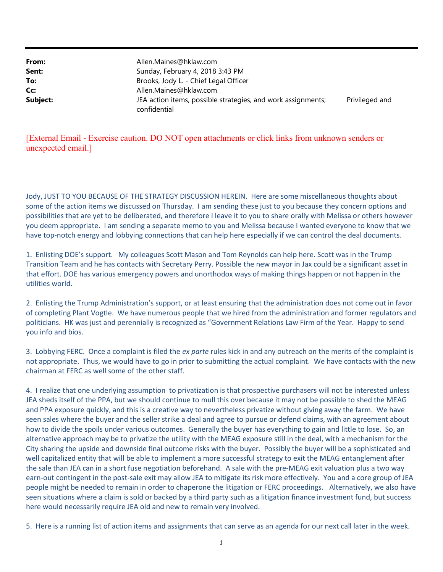| From:    | Allen.Maines@hklaw.com                                                       |                |
|----------|------------------------------------------------------------------------------|----------------|
| Sent:    | Sunday, February 4, 2018 3:43 PM                                             |                |
| To:      | Brooks, Jody L. - Chief Legal Officer                                        |                |
| Cc:      | Allen.Maines@hklaw.com                                                       |                |
| Subject: | JEA action items, possible strategies, and work assignments;<br>confidential | Privileged and |

## [External Email - Exercise caution. DO NOT open attachments or click links from unknown senders or unexpected email.]

Jody, JUST TO YOU BECAUSE OF THE STRATEGY DISCUSSION HEREIN. Here are some miscellaneous thoughts about some of the action items we discussed on Thursday. I am sending these just to you because they concern options and possibilities that are yet to be deliberated, and therefore I leave it to you to share orally with Melissa or others however you deem appropriate. I am sending a separate memo to you and Melissa because I wanted everyone to know that we have top-notch energy and lobbying connections that can help here especially if we can control the deal documents.

1. Enlisting DOE's support. My colleagues Scott Mason and Tom Reynolds can help here. Scott was in the Trump Transition Team and he has contacts with Secretary Perry. Possible the new mayor in Jax could be a significant asset in that effort. DOE has various emergency powers and unorthodox ways of making things happen or not happen in the utilities world.

2. Enlisting the Trump Administration's support, or at least ensuring that the administration does not come out in favor of completing Plant Vogtle. We have numerous people that we hired from the administration and former regulators and politicians. HK was just and perennially is recognized as "Government Relations Law Firm of the Year. Happy to send you info and bios.

3. Lobbying FERC. Once a complaint is filed the ex parte rules kick in and any outreach on the merits of the complaint is not appropriate. Thus, we would have to go in prior to submitting the actual complaint. We have contacts with the new chairman at FERC as well some of the other staff.

4. I realize that one underlying assumption to privatization is that prospective purchasers will not be interested unless JEA sheds itself of the PPA, but we should continue to mull this over because it may not be possible to shed the MEAG and PPA exposure quickly, and this is a creative way to nevertheless privatize without giving away the farm. We have seen sales where the buyer and the seller strike a deal and agree to pursue or defend claims, with an agreement about how to divide the spoils under various outcomes. Generally the buyer has everything to gain and little to lose. So, an alternative approach may be to privatize the utility with the MEAG exposure still in the deal, with a mechanism for the City sharing the upside and downside final outcome risks with the buyer. Possibly the buyer will be a sophisticated and well capitalized entity that will be able to implement a more successful strategy to exit the MEAG entanglement after the sale than JEA can in a short fuse negotiation beforehand. A sale with the pre-MEAG exit valuation plus a two way earn-out contingent in the post-sale exit may allow JEA to mitigate its risk more effectively. You and a core group of JEA people might be needed to remain in order to chaperone the litigation or FERC proceedings. Alternatively, we also have seen situations where a claim is sold or backed by a third party such as a litigation finance investment fund, but success here would necessarily require JEA old and new to remain very involved.

5. Here is a running list of action items and assignments that can serve as an agenda for our next call later in the week.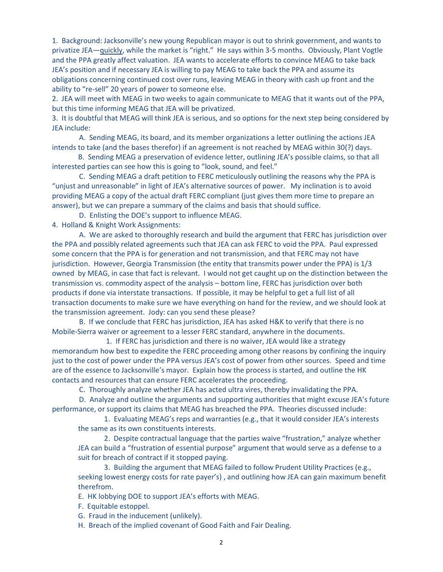1. Background: Jacksonville's new young Republican mayor is out to shrink government, and wants to privatize JEA-quickly, while the market is "right." He says within 3-5 months. Obviously, Plant Vogtle and the PPA greatly affect valuation. JEA wants to accelerate efforts to convince MEAG to take back JEA's position and if necessary JEA is willing to pay MEAG to take back the PPA and assume its obligations concerning continued cost over runs, leaving MEAG in theory with cash up front and the ability to "re-sell" 20 years of power to someone else.

2. JEA will meet with MEAG in two weeks to again communicate to MEAG that it wants out of the PPA, but this time informing MEAG that JEA will be privatized.

3. It is doubtful that MEAG will think JEA is serious, and so options for the next step being considered by JEA include:

 A. Sending MEAG, its board, and its member organizations a letter outlining the actions JEA intends to take (and the bases therefor) if an agreement is not reached by MEAG within 30(?) days.

B. Sending MEAG a preservation of evidence letter, outlining JEA's possible claims, so that all interested parties can see how this is going to "look, sound, and feel."

 C. Sending MEAG a draft petition to FERC meticulously outlining the reasons why the PPA is "unjust and unreasonable" in light of JEA's alternative sources of power. My inclination is to avoid providing MEAG a copy of the actual draft FERC compliant (just gives them more time to prepare an answer), but we can prepare a summary of the claims and basis that should suffice.

D. Enlisting the DOE's support to influence MEAG.

4. Holland & Knight Work Assignments:

 A. We are asked to thoroughly research and build the argument that FERC has jurisdiction over the PPA and possibly related agreements such that JEA can ask FERC to void the PPA. Paul expressed some concern that the PPA is for generation and not transmission, and that FERC may not have jurisdiction. However, Georgia Transmission (the entity that transmits power under the PPA) is 1/3 owned by MEAG, in case that fact is relevant. I would not get caught up on the distinction between the transmission vs. commodity aspect of the analysis – bottom line, FERC has jurisdiction over both products if done via interstate transactions. If possible, it may be helpful to get a full list of all transaction documents to make sure we have everything on hand for the review, and we should look at the transmission agreement. Jody: can you send these please?

 B. If we conclude that FERC has jurisdiction, JEA has asked H&K to verify that there is no Mobile-Sierra waiver or agreement to a lesser FERC standard, anywhere in the documents.

 1. If FERC has jurisdiction and there is no waiver, JEA would like a strategy memorandum how best to expedite the FERC proceeding among other reasons by confining the inquiry just to the cost of power under the PPA versus JEA's cost of power from other sources. Speed and time are of the essence to Jacksonville's mayor. Explain how the process is started, and outline the HK contacts and resources that can ensure FERC accelerates the proceeding.

C. Thoroughly analyze whether JEA has acted ultra vires, thereby invalidating the PPA.

 D. Analyze and outline the arguments and supporting authorities that might excuse JEA's future performance, or support its claims that MEAG has breached the PPA. Theories discussed include:

1. Evaluating MEAG's reps and warranties (e.g., that it would consider JEA's interests the same as its own constituents interests.

2. Despite contractual language that the parties waive "frustration," analyze whether JEA can build a "frustration of essential purpose" argument that would serve as a defense to a suit for breach of contract if it stopped paying.

3. Building the argument that MEAG failed to follow Prudent Utility Practices (e.g., seeking lowest energy costs for rate payer's) , and outlining how JEA can gain maximum benefit therefrom.

E. HK lobbying DOE to support JEA's efforts with MEAG.

F. Equitable estoppel.

G. Fraud in the inducement (unlikely).

H. Breach of the implied covenant of Good Faith and Fair Dealing.